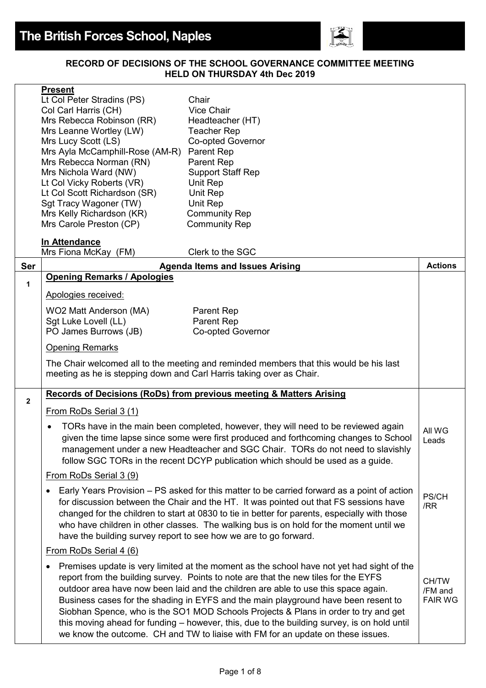

#### **RECORD OF DECISIONS OF THE SCHOOL GOVERNANCE COMMITTEE MEETING HELD ON THURSDAY 4th Dec 2019**

|                | <b>Present</b>                                                       |                                                                                               |                           |
|----------------|----------------------------------------------------------------------|-----------------------------------------------------------------------------------------------|---------------------------|
|                | Lt Col Peter Stradins (PS)                                           | Chair                                                                                         |                           |
|                | Col Carl Harris (CH)                                                 | <b>Vice Chair</b>                                                                             |                           |
|                | Mrs Rebecca Robinson (RR)                                            | Headteacher (HT)                                                                              |                           |
|                | Mrs Leanne Wortley (LW)                                              | <b>Teacher Rep</b>                                                                            |                           |
|                | Mrs Lucy Scott (LS)                                                  | Co-opted Governor                                                                             |                           |
|                | Mrs Ayla McCamphill-Rose (AM-R)                                      | Parent Rep                                                                                    |                           |
|                | Mrs Rebecca Norman (RN)                                              | Parent Rep                                                                                    |                           |
|                | Mrs Nichola Ward (NW)                                                | <b>Support Staff Rep</b>                                                                      |                           |
|                | Lt Col Vicky Roberts (VR)                                            | Unit Rep                                                                                      |                           |
|                | Lt Col Scott Richardson (SR)<br>Sgt Tracy Wagoner (TW)               | Unit Rep<br>Unit Rep                                                                          |                           |
|                | Mrs Kelly Richardson (KR)                                            | <b>Community Rep</b>                                                                          |                           |
|                | Mrs Carole Preston (CP)                                              | <b>Community Rep</b>                                                                          |                           |
|                |                                                                      |                                                                                               |                           |
|                | In Attendance                                                        |                                                                                               |                           |
|                | Mrs Fiona McKay (FM)                                                 | Clerk to the SGC                                                                              |                           |
| Ser            |                                                                      | <b>Agenda Items and Issues Arising</b>                                                        | <b>Actions</b>            |
| 1              | <b>Opening Remarks / Apologies</b>                                   |                                                                                               |                           |
|                | Apologies received:                                                  |                                                                                               |                           |
|                |                                                                      |                                                                                               |                           |
|                | WO2 Matt Anderson (MA)                                               | Parent Rep                                                                                    |                           |
|                | Sgt Luke Lovell (LL)                                                 | Parent Rep                                                                                    |                           |
|                | PO James Burrows (JB)                                                | <b>Co-opted Governor</b>                                                                      |                           |
|                | <b>Opening Remarks</b>                                               |                                                                                               |                           |
|                |                                                                      | The Chair welcomed all to the meeting and reminded members that this would be his last        |                           |
|                | meeting as he is stepping down and Carl Harris taking over as Chair. |                                                                                               |                           |
|                |                                                                      |                                                                                               |                           |
| $\overline{2}$ |                                                                      | <b>Records of Decisions (RoDs) from previous meeting &amp; Matters Arising</b>                |                           |
|                | From RoDs Serial 3 (1)                                               |                                                                                               |                           |
|                |                                                                      |                                                                                               |                           |
|                | $\bullet$                                                            | TORs have in the main been completed, however, they will need to be reviewed again            | All WG                    |
|                |                                                                      | given the time lapse since some were first produced and forthcoming changes to School         | Leads                     |
|                |                                                                      | management under a new Headteacher and SGC Chair. TORs do not need to slavishly               |                           |
|                |                                                                      | follow SGC TORs in the recent DCYP publication which should be used as a guide.               |                           |
|                | From RoDs Serial 3 (9)                                               |                                                                                               |                           |
|                |                                                                      | Early Years Provision – PS asked for this matter to be carried forward as a point of action   |                           |
|                | $\bullet$                                                            |                                                                                               | PS/CH                     |
|                |                                                                      | for discussion between the Chair and the HT. It was pointed out that FS sessions have         | /RR                       |
|                |                                                                      | changed for the children to start at 0830 to tie in better for parents, especially with those |                           |
|                |                                                                      | who have children in other classes. The walking bus is on hold for the moment until we        |                           |
|                |                                                                      | have the building survey report to see how we are to go forward.                              |                           |
|                | From RoDs Serial 4 (6)                                               |                                                                                               |                           |
|                |                                                                      | Premises update is very limited at the moment as the school have not yet had sight of the     |                           |
|                |                                                                      | report from the building survey. Points to note are that the new tiles for the EYFS           |                           |
|                |                                                                      | outdoor area have now been laid and the children are able to use this space again.            | CH/TW                     |
|                |                                                                      | Business cases for the shading in EYFS and the main playground have been resent to            | /FM and<br><b>FAIR WG</b> |
|                |                                                                      | Siobhan Spence, who is the SO1 MOD Schools Projects & Plans in order to try and get           |                           |
|                |                                                                      | this moving ahead for funding - however, this, due to the building survey, is on hold until   |                           |
|                |                                                                      | we know the outcome. CH and TW to liaise with FM for an update on these issues.               |                           |
|                |                                                                      |                                                                                               |                           |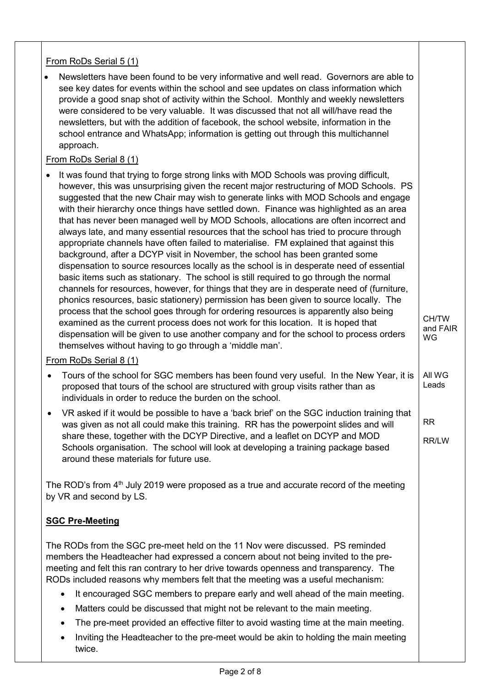## From RoDs Serial 5 (1)

• Newsletters have been found to be very informative and well read. Governors are able to see key dates for events within the school and see updates on class information which provide a good snap shot of activity within the School. Monthly and weekly newsletters were considered to be very valuable. It was discussed that not all will/have read the newsletters, but with the addition of facebook, the school website, information in the school entrance and WhatsApp; information is getting out through this multichannel approach.

### From RoDs Serial 8 (1)

• It was found that trying to forge strong links with MOD Schools was proving difficult, however, this was unsurprising given the recent major restructuring of MOD Schools. PS suggested that the new Chair may wish to generate links with MOD Schools and engage with their hierarchy once things have settled down. Finance was highlighted as an area that has never been managed well by MOD Schools, allocations are often incorrect and always late, and many essential resources that the school has tried to procure through appropriate channels have often failed to materialise. FM explained that against this background, after a DCYP visit in November, the school has been granted some dispensation to source resources locally as the school is in desperate need of essential basic items such as stationary. The school is still required to go through the normal channels for resources, however, for things that they are in desperate need of (furniture, phonics resources, basic stationery) permission has been given to source locally. The process that the school goes through for ordering resources is apparently also being examined as the current process does not work for this location. It is hoped that dispensation will be given to use another company and for the school to process orders themselves without having to go through a 'middle man'. CH/TW and FAIR WG

#### From RoDs Serial 8 (1)

- Tours of the school for SGC members has been found very useful. In the New Year, it is proposed that tours of the school are structured with group visits rather than as individuals in order to reduce the burden on the school. All WG Leads
- VR asked if it would be possible to have a 'back brief' on the SGC induction training that was given as not all could make this training. RR has the powerpoint slides and will share these, together with the DCYP Directive, and a leaflet on DCYP and MOD Schools organisation. The school will look at developing a training package based around these materials for future use. RR RR/LW

The ROD's from 4<sup>th</sup> July 2019 were proposed as a true and accurate record of the meeting by VR and second by LS.

## **SGC Pre-Meeting**

The RODs from the SGC pre-meet held on the 11 Nov were discussed. PS reminded members the Headteacher had expressed a concern about not being invited to the premeeting and felt this ran contrary to her drive towards openness and transparency. The RODs included reasons why members felt that the meeting was a useful mechanism:

- It encouraged SGC members to prepare early and well ahead of the main meeting.
- Matters could be discussed that might not be relevant to the main meeting.
- The pre-meet provided an effective filter to avoid wasting time at the main meeting.
- Inviting the Headteacher to the pre-meet would be akin to holding the main meeting twice.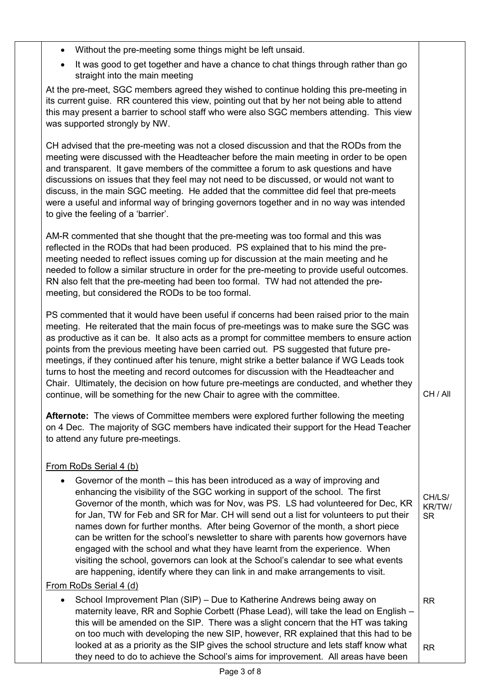- Without the pre-meeting some things might be left unsaid.
- It was good to get together and have a chance to chat things through rather than go straight into the main meeting

At the pre-meet, SGC members agreed they wished to continue holding this pre-meeting in its current guise. RR countered this view, pointing out that by her not being able to attend this may present a barrier to school staff who were also SGC members attending. This view was supported strongly by NW.

CH advised that the pre-meeting was not a closed discussion and that the RODs from the meeting were discussed with the Headteacher before the main meeting in order to be open and transparent. It gave members of the committee a forum to ask questions and have discussions on issues that they feel may not need to be discussed, or would not want to discuss, in the main SGC meeting. He added that the committee did feel that pre-meets were a useful and informal way of bringing governors together and in no way was intended to give the feeling of a 'barrier'.

AM-R commented that she thought that the pre-meeting was too formal and this was reflected in the RODs that had been produced. PS explained that to his mind the premeeting needed to reflect issues coming up for discussion at the main meeting and he needed to follow a similar structure in order for the pre-meeting to provide useful outcomes. RN also felt that the pre-meeting had been too formal. TW had not attended the premeeting, but considered the RODs to be too formal.

PS commented that it would have been useful if concerns had been raised prior to the main meeting. He reiterated that the main focus of pre-meetings was to make sure the SGC was as productive as it can be. It also acts as a prompt for committee members to ensure action points from the previous meeting have been carried out. PS suggested that future premeetings, if they continued after his tenure, might strike a better balance if WG Leads took turns to host the meeting and record outcomes for discussion with the Headteacher and Chair. Ultimately, the decision on how future pre-meetings are conducted, and whether they continue, will be something for the new Chair to agree with the committee.

**Afternote:** The views of Committee members were explored further following the meeting on 4 Dec. The majority of SGC members have indicated their support for the Head Teacher to attend any future pre-meetings.

CH / All

CH/LS/ KR/TW/ SR

# From RoDs Serial 4 (b)

• Governor of the month – this has been introduced as a way of improving and enhancing the visibility of the SGC working in support of the school. The first Governor of the month, which was for Nov, was PS. LS had volunteered for Dec, KR for Jan, TW for Feb and SR for Mar. CH will send out a list for volunteers to put their names down for further months. After being Governor of the month, a short piece can be written for the school's newsletter to share with parents how governors have engaged with the school and what they have learnt from the experience. When visiting the school, governors can look at the School's calendar to see what events are happening, identify where they can link in and make arrangements to visit.

# From RoDs Serial 4 (d)

• School Improvement Plan (SIP) – Due to Katherine Andrews being away on maternity leave, RR and Sophie Corbett (Phase Lead), will take the lead on English – this will be amended on the SIP. There was a slight concern that the HT was taking on too much with developing the new SIP, however, RR explained that this had to be looked at as a priority as the SIP gives the school structure and lets staff know what they need to do to achieve the School's aims for improvement. All areas have been RR RR

Page 3 of 8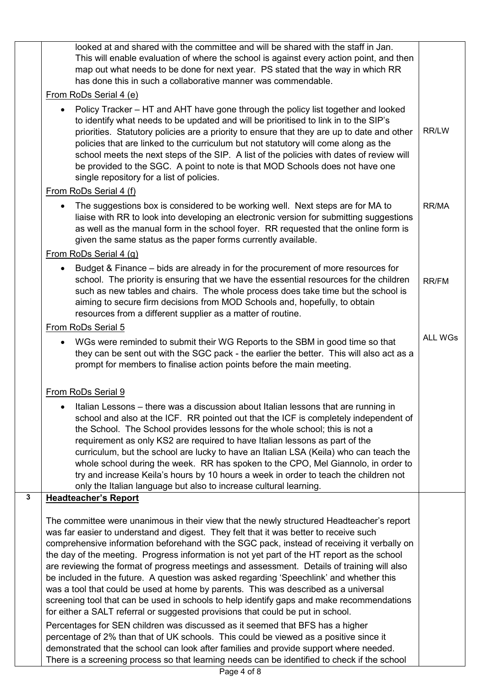|                         | looked at and shared with the committee and will be shared with the staff in Jan.<br>This will enable evaluation of where the school is against every action point, and then<br>map out what needs to be done for next year. PS stated that the way in which RR<br>has done this in such a collaborative manner was commendable.                                                                                                                                                                                                                                                                                                                                                                                                                                                                                                                                                                                                   |                |  |
|-------------------------|------------------------------------------------------------------------------------------------------------------------------------------------------------------------------------------------------------------------------------------------------------------------------------------------------------------------------------------------------------------------------------------------------------------------------------------------------------------------------------------------------------------------------------------------------------------------------------------------------------------------------------------------------------------------------------------------------------------------------------------------------------------------------------------------------------------------------------------------------------------------------------------------------------------------------------|----------------|--|
|                         | From RoDs Serial 4 (e)                                                                                                                                                                                                                                                                                                                                                                                                                                                                                                                                                                                                                                                                                                                                                                                                                                                                                                             |                |  |
|                         | Policy Tracker - HT and AHT have gone through the policy list together and looked<br>to identify what needs to be updated and will be prioritised to link in to the SIP's<br>priorities. Statutory policies are a priority to ensure that they are up to date and other<br>policies that are linked to the curriculum but not statutory will come along as the<br>school meets the next steps of the SIP. A list of the policies with dates of review will<br>be provided to the SGC. A point to note is that MOD Schools does not have one<br>single repository for a list of policies.                                                                                                                                                                                                                                                                                                                                           | RR/LW          |  |
|                         | From RoDs Serial 4 (f)                                                                                                                                                                                                                                                                                                                                                                                                                                                                                                                                                                                                                                                                                                                                                                                                                                                                                                             |                |  |
|                         | The suggestions box is considered to be working well. Next steps are for MA to<br>$\bullet$<br>liaise with RR to look into developing an electronic version for submitting suggestions<br>as well as the manual form in the school foyer. RR requested that the online form is<br>given the same status as the paper forms currently available.                                                                                                                                                                                                                                                                                                                                                                                                                                                                                                                                                                                    | RR/MA          |  |
|                         | From RoDs Serial 4 (g)                                                                                                                                                                                                                                                                                                                                                                                                                                                                                                                                                                                                                                                                                                                                                                                                                                                                                                             |                |  |
|                         | Budget & Finance – bids are already in for the procurement of more resources for<br>school. The priority is ensuring that we have the essential resources for the children<br>such as new tables and chairs. The whole process does take time but the school is<br>aiming to secure firm decisions from MOD Schools and, hopefully, to obtain<br>resources from a different supplier as a matter of routine.                                                                                                                                                                                                                                                                                                                                                                                                                                                                                                                       | <b>RR/FM</b>   |  |
|                         | From RoDs Serial 5                                                                                                                                                                                                                                                                                                                                                                                                                                                                                                                                                                                                                                                                                                                                                                                                                                                                                                                 |                |  |
|                         | WGs were reminded to submit their WG Reports to the SBM in good time so that<br>they can be sent out with the SGC pack - the earlier the better. This will also act as a<br>prompt for members to finalise action points before the main meeting.                                                                                                                                                                                                                                                                                                                                                                                                                                                                                                                                                                                                                                                                                  | <b>ALL WGs</b> |  |
|                         | From RoDs Serial 9                                                                                                                                                                                                                                                                                                                                                                                                                                                                                                                                                                                                                                                                                                                                                                                                                                                                                                                 |                |  |
|                         | • Italian Lessons – there was a discussion about Italian lessons that are running in<br>school and also at the ICF. RR pointed out that the ICF is completely independent of<br>the School. The School provides lessons for the whole school; this is not a<br>requirement as only KS2 are required to have Italian lessons as part of the<br>curriculum, but the school are lucky to have an Italian LSA (Keila) who can teach the<br>whole school during the week. RR has spoken to the CPO, Mel Giannolo, in order to<br>try and increase Keila's hours by 10 hours a week in order to teach the children not<br>only the Italian language but also to increase cultural learning.                                                                                                                                                                                                                                              |                |  |
| $\overline{\mathbf{3}}$ | <b>Headteacher's Report</b>                                                                                                                                                                                                                                                                                                                                                                                                                                                                                                                                                                                                                                                                                                                                                                                                                                                                                                        |                |  |
|                         | The committee were unanimous in their view that the newly structured Headteacher's report<br>was far easier to understand and digest. They felt that it was better to receive such<br>comprehensive information beforehand with the SGC pack, instead of receiving it verbally on<br>the day of the meeting. Progress information is not yet part of the HT report as the school<br>are reviewing the format of progress meetings and assessment. Details of training will also<br>be included in the future. A question was asked regarding 'Speechlink' and whether this<br>was a tool that could be used at home by parents. This was described as a universal<br>screening tool that can be used in schools to help identify gaps and make recommendations<br>for either a SALT referral or suggested provisions that could be put in school.<br>Percentages for SEN children was discussed as it seemed that BFS has a higher |                |  |
|                         | percentage of 2% than that of UK schools. This could be viewed as a positive since it<br>demonstrated that the school can look after families and provide support where needed.<br>There is a screening process so that learning needs can be identified to check if the school                                                                                                                                                                                                                                                                                                                                                                                                                                                                                                                                                                                                                                                    |                |  |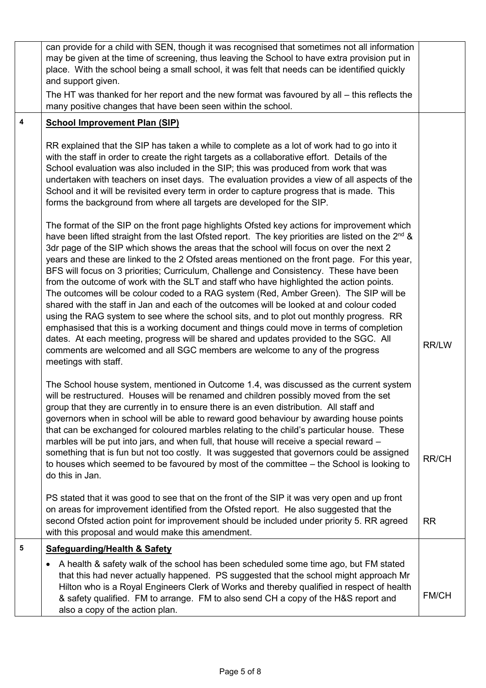|   | can provide for a child with SEN, though it was recognised that sometimes not all information<br>may be given at the time of screening, thus leaving the School to have extra provision put in<br>place. With the school being a small school, it was felt that needs can be identified quickly<br>and support given.                                                                                                                                                                                                                                                                                                                                                                                                                                                                                                                                                                                                                                                                                                                                                                                                                                                   |              |
|---|-------------------------------------------------------------------------------------------------------------------------------------------------------------------------------------------------------------------------------------------------------------------------------------------------------------------------------------------------------------------------------------------------------------------------------------------------------------------------------------------------------------------------------------------------------------------------------------------------------------------------------------------------------------------------------------------------------------------------------------------------------------------------------------------------------------------------------------------------------------------------------------------------------------------------------------------------------------------------------------------------------------------------------------------------------------------------------------------------------------------------------------------------------------------------|--------------|
|   | The HT was thanked for her report and the new format was favoured by all - this reflects the<br>many positive changes that have been seen within the school.                                                                                                                                                                                                                                                                                                                                                                                                                                                                                                                                                                                                                                                                                                                                                                                                                                                                                                                                                                                                            |              |
| 4 | <b>School Improvement Plan (SIP)</b>                                                                                                                                                                                                                                                                                                                                                                                                                                                                                                                                                                                                                                                                                                                                                                                                                                                                                                                                                                                                                                                                                                                                    |              |
|   | RR explained that the SIP has taken a while to complete as a lot of work had to go into it<br>with the staff in order to create the right targets as a collaborative effort. Details of the<br>School evaluation was also included in the SIP; this was produced from work that was<br>undertaken with teachers on inset days. The evaluation provides a view of all aspects of the<br>School and it will be revisited every term in order to capture progress that is made. This<br>forms the background from where all targets are developed for the SIP.                                                                                                                                                                                                                                                                                                                                                                                                                                                                                                                                                                                                             |              |
|   | The format of the SIP on the front page highlights Ofsted key actions for improvement which<br>have been lifted straight from the last Ofsted report. The key priorities are listed on the 2 <sup>nd</sup> &<br>3dr page of the SIP which shows the areas that the school will focus on over the next 2<br>years and these are linked to the 2 Ofsted areas mentioned on the front page. For this year,<br>BFS will focus on 3 priorities; Curriculum, Challenge and Consistency. These have been<br>from the outcome of work with the SLT and staff who have highlighted the action points.<br>The outcomes will be colour coded to a RAG system (Red, Amber Green). The SIP will be<br>shared with the staff in Jan and each of the outcomes will be looked at and colour coded<br>using the RAG system to see where the school sits, and to plot out monthly progress. RR<br>emphasised that this is a working document and things could move in terms of completion<br>dates. At each meeting, progress will be shared and updates provided to the SGC. All<br>comments are welcomed and all SGC members are welcome to any of the progress<br>meetings with staff. | <b>RR/LW</b> |
|   | The School house system, mentioned in Outcome 1.4, was discussed as the current system<br>will be restructured. Houses will be renamed and children possibly moved from the set<br>group that they are currently in to ensure there is an even distribution. All staff and<br>governors when in school will be able to reward good behaviour by awarding house points<br>that can be exchanged for coloured marbles relating to the child's particular house. These<br>marbles will be put into jars, and when full, that house will receive a special reward -<br>something that is fun but not too costly. It was suggested that governors could be assigned<br>to houses which seemed to be favoured by most of the committee – the School is looking to<br>do this in Jan.                                                                                                                                                                                                                                                                                                                                                                                          | <b>RR/CH</b> |
|   | PS stated that it was good to see that on the front of the SIP it was very open and up front<br>on areas for improvement identified from the Ofsted report. He also suggested that the<br>second Ofsted action point for improvement should be included under priority 5. RR agreed<br>with this proposal and would make this amendment.                                                                                                                                                                                                                                                                                                                                                                                                                                                                                                                                                                                                                                                                                                                                                                                                                                | <b>RR</b>    |
| 5 | <b>Safeguarding/Health &amp; Safety</b>                                                                                                                                                                                                                                                                                                                                                                                                                                                                                                                                                                                                                                                                                                                                                                                                                                                                                                                                                                                                                                                                                                                                 |              |
|   | A health & safety walk of the school has been scheduled some time ago, but FM stated<br>٠<br>that this had never actually happened. PS suggested that the school might approach Mr<br>Hilton who is a Royal Engineers Clerk of Works and thereby qualified in respect of health<br>& safety qualified. FM to arrange. FM to also send CH a copy of the H&S report and<br>also a copy of the action plan.                                                                                                                                                                                                                                                                                                                                                                                                                                                                                                                                                                                                                                                                                                                                                                | FM/CH        |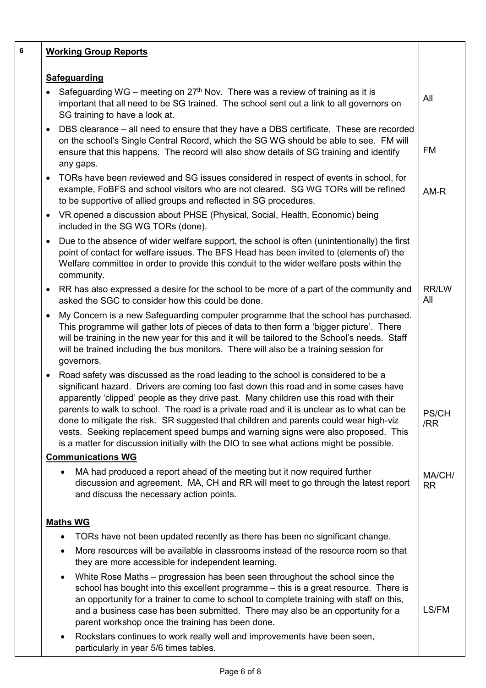| 6 | <b>Working Group Reports</b>                                                                                                                                                                                                                                                                                                                                                                                                                                                                                                                                                                                                                             |                     |
|---|----------------------------------------------------------------------------------------------------------------------------------------------------------------------------------------------------------------------------------------------------------------------------------------------------------------------------------------------------------------------------------------------------------------------------------------------------------------------------------------------------------------------------------------------------------------------------------------------------------------------------------------------------------|---------------------|
|   | <b>Safeguarding</b>                                                                                                                                                                                                                                                                                                                                                                                                                                                                                                                                                                                                                                      |                     |
|   | Safeguarding WG – meeting on $27th$ Nov. There was a review of training as it is<br>$\bullet$<br>important that all need to be SG trained. The school sent out a link to all governors on<br>SG training to have a look at.                                                                                                                                                                                                                                                                                                                                                                                                                              | All                 |
|   | DBS clearance – all need to ensure that they have a DBS certificate. These are recorded<br>٠<br>on the school's Single Central Record, which the SG WG should be able to see. FM will<br>ensure that this happens. The record will also show details of SG training and identify<br>any gaps.                                                                                                                                                                                                                                                                                                                                                            | FM                  |
|   | TORs have been reviewed and SG issues considered in respect of events in school, for<br>٠<br>example, FoBFS and school visitors who are not cleared. SG WG TORs will be refined<br>to be supportive of allied groups and reflected in SG procedures.                                                                                                                                                                                                                                                                                                                                                                                                     | AM-R                |
|   | VR opened a discussion about PHSE (Physical, Social, Health, Economic) being<br>$\bullet$<br>included in the SG WG TORs (done).                                                                                                                                                                                                                                                                                                                                                                                                                                                                                                                          |                     |
|   | Due to the absence of wider welfare support, the school is often (unintentionally) the first<br>٠<br>point of contact for welfare issues. The BFS Head has been invited to (elements of) the<br>Welfare committee in order to provide this conduit to the wider welfare posts within the<br>community.                                                                                                                                                                                                                                                                                                                                                   |                     |
|   | RR has also expressed a desire for the school to be more of a part of the community and<br>٠<br>asked the SGC to consider how this could be done.                                                                                                                                                                                                                                                                                                                                                                                                                                                                                                        | RR/LW<br>All        |
|   | My Concern is a new Safeguarding computer programme that the school has purchased.<br>٠<br>This programme will gather lots of pieces of data to then form a 'bigger picture'. There<br>will be training in the new year for this and it will be tailored to the School's needs. Staff<br>will be trained including the bus monitors. There will also be a training session for<br>governors.                                                                                                                                                                                                                                                             |                     |
|   | Road safety was discussed as the road leading to the school is considered to be a<br>$\bullet$<br>significant hazard. Drivers are coming too fast down this road and in some cases have<br>apparently 'clipped' people as they drive past. Many children use this road with their<br>parents to walk to school. The road is a private road and it is unclear as to what can be<br>done to mitigate the risk. SR suggested that children and parents could wear high-viz<br>vests. Seeking replacement speed bumps and warning signs were also proposed. This<br>is a matter for discussion initially with the DIO to see what actions might be possible. | PS/CH<br>/RR        |
|   | <b>Communications WG</b>                                                                                                                                                                                                                                                                                                                                                                                                                                                                                                                                                                                                                                 |                     |
|   | MA had produced a report ahead of the meeting but it now required further<br>discussion and agreement. MA, CH and RR will meet to go through the latest report<br>and discuss the necessary action points.                                                                                                                                                                                                                                                                                                                                                                                                                                               | MA/CH/<br><b>RR</b> |
|   | <b>Maths WG</b>                                                                                                                                                                                                                                                                                                                                                                                                                                                                                                                                                                                                                                          |                     |
|   | TORs have not been updated recently as there has been no significant change.                                                                                                                                                                                                                                                                                                                                                                                                                                                                                                                                                                             |                     |
|   | More resources will be available in classrooms instead of the resource room so that<br>they are more accessible for independent learning.                                                                                                                                                                                                                                                                                                                                                                                                                                                                                                                |                     |
|   | White Rose Maths – progression has been seen throughout the school since the<br>٠<br>school has bought into this excellent programme - this is a great resource. There is<br>an opportunity for a trainer to come to school to complete training with staff on this,<br>and a business case has been submitted. There may also be an opportunity for a<br>parent workshop once the training has been done.                                                                                                                                                                                                                                               | LS/FM               |
|   | Rockstars continues to work really well and improvements have been seen,<br>$\bullet$<br>particularly in year 5/6 times tables.                                                                                                                                                                                                                                                                                                                                                                                                                                                                                                                          |                     |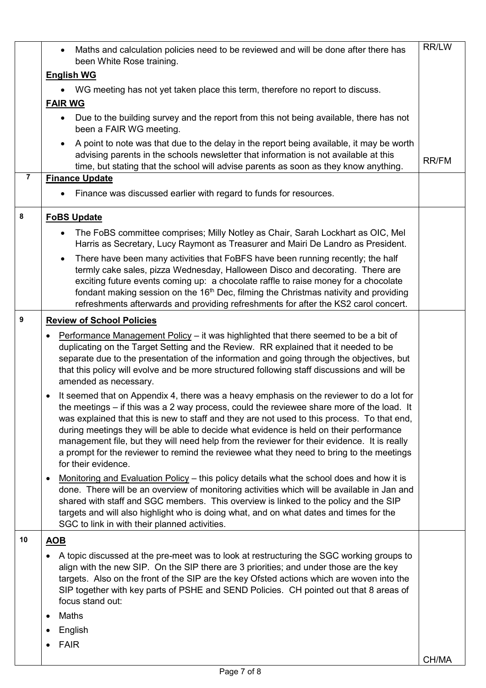|                | Maths and calculation policies need to be reviewed and will be done after there has<br>$\bullet$<br>been White Rose training.                                                                                                                                                                                                                                                                                                                                                                                                                                                                    | <b>RR/LW</b> |
|----------------|--------------------------------------------------------------------------------------------------------------------------------------------------------------------------------------------------------------------------------------------------------------------------------------------------------------------------------------------------------------------------------------------------------------------------------------------------------------------------------------------------------------------------------------------------------------------------------------------------|--------------|
|                | <b>English WG</b>                                                                                                                                                                                                                                                                                                                                                                                                                                                                                                                                                                                |              |
|                | WG meeting has not yet taken place this term, therefore no report to discuss.                                                                                                                                                                                                                                                                                                                                                                                                                                                                                                                    |              |
|                | <b>FAIR WG</b>                                                                                                                                                                                                                                                                                                                                                                                                                                                                                                                                                                                   |              |
|                | Due to the building survey and the report from this not being available, there has not<br>been a FAIR WG meeting.                                                                                                                                                                                                                                                                                                                                                                                                                                                                                |              |
|                | A point to note was that due to the delay in the report being available, it may be worth<br>$\bullet$<br>advising parents in the schools newsletter that information is not available at this<br>time, but stating that the school will advise parents as soon as they know anything.                                                                                                                                                                                                                                                                                                            | <b>RR/FM</b> |
| $\overline{7}$ | <b>Finance Update</b>                                                                                                                                                                                                                                                                                                                                                                                                                                                                                                                                                                            |              |
|                | Finance was discussed earlier with regard to funds for resources.                                                                                                                                                                                                                                                                                                                                                                                                                                                                                                                                |              |
| 8              | <b>FoBS Update</b>                                                                                                                                                                                                                                                                                                                                                                                                                                                                                                                                                                               |              |
|                | The FoBS committee comprises; Milly Notley as Chair, Sarah Lockhart as OIC, Mel<br>$\bullet$<br>Harris as Secretary, Lucy Raymont as Treasurer and Mairi De Landro as President.                                                                                                                                                                                                                                                                                                                                                                                                                 |              |
|                | There have been many activities that FoBFS have been running recently; the half<br>$\bullet$<br>termly cake sales, pizza Wednesday, Halloween Disco and decorating. There are<br>exciting future events coming up: a chocolate raffle to raise money for a chocolate<br>fondant making session on the 16 <sup>th</sup> Dec, filming the Christmas nativity and providing<br>refreshments afterwards and providing refreshments for after the KS2 carol concert.                                                                                                                                  |              |
| 9              | <b>Review of School Policies</b>                                                                                                                                                                                                                                                                                                                                                                                                                                                                                                                                                                 |              |
|                | Performance Management Policy – it was highlighted that there seemed to be a bit of<br>duplicating on the Target Setting and the Review. RR explained that it needed to be<br>separate due to the presentation of the information and going through the objectives, but<br>that this policy will evolve and be more structured following staff discussions and will be<br>amended as necessary.                                                                                                                                                                                                  |              |
|                | It seemed that on Appendix 4, there was a heavy emphasis on the reviewer to do a lot for<br>the meetings – if this was a 2 way process, could the reviewee share more of the load. It<br>was explained that this is new to staff and they are not used to this process. To that end,<br>during meetings they will be able to decide what evidence is held on their performance<br>management file, but they will need help from the reviewer for their evidence. It is really<br>a prompt for the reviewer to remind the reviewee what they need to bring to the meetings<br>for their evidence. |              |
|                | <u>Monitoring and Evaluation Policy</u> – this policy details what the school does and how it is<br>done. There will be an overview of monitoring activities which will be available in Jan and<br>shared with staff and SGC members. This overview is linked to the policy and the SIP<br>targets and will also highlight who is doing what, and on what dates and times for the<br>SGC to link in with their planned activities.                                                                                                                                                               |              |
| 10             | <b>AOB</b>                                                                                                                                                                                                                                                                                                                                                                                                                                                                                                                                                                                       |              |
|                | A topic discussed at the pre-meet was to look at restructuring the SGC working groups to<br>align with the new SIP. On the SIP there are 3 priorities; and under those are the key<br>targets. Also on the front of the SIP are the key Ofsted actions which are woven into the<br>SIP together with key parts of PSHE and SEND Policies. CH pointed out that 8 areas of<br>focus stand out:                                                                                                                                                                                                     |              |
|                | Maths                                                                                                                                                                                                                                                                                                                                                                                                                                                                                                                                                                                            |              |
|                | English                                                                                                                                                                                                                                                                                                                                                                                                                                                                                                                                                                                          |              |
|                | <b>FAIR</b>                                                                                                                                                                                                                                                                                                                                                                                                                                                                                                                                                                                      |              |
|                |                                                                                                                                                                                                                                                                                                                                                                                                                                                                                                                                                                                                  | CH/MA        |